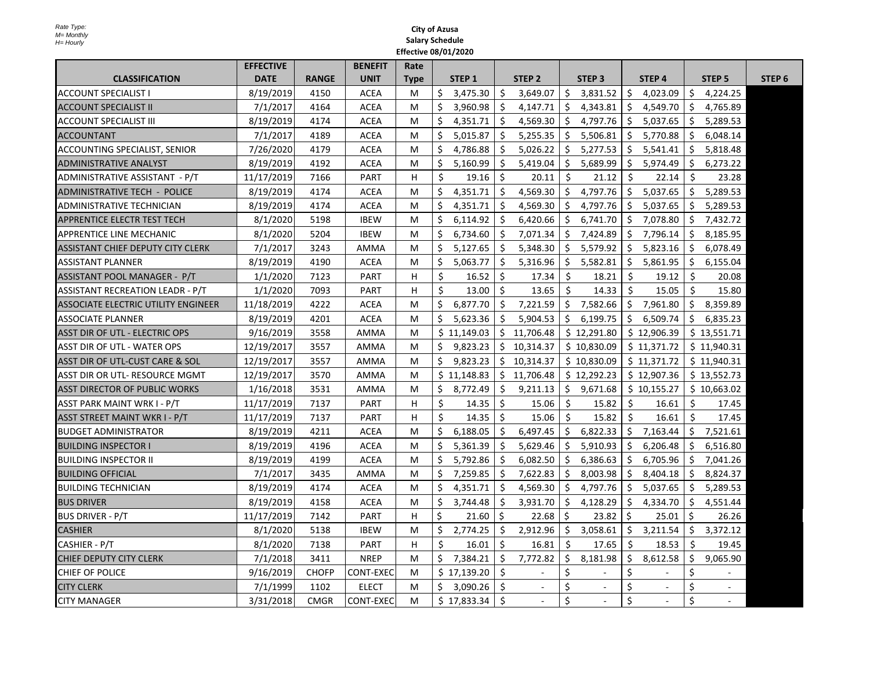|                                            | <b>EFFECTIVE</b> |              | <b>BENEFIT</b>   | Rate        |    |                   |    |                   |     |                       |     |                       |     |               |                   |
|--------------------------------------------|------------------|--------------|------------------|-------------|----|-------------------|----|-------------------|-----|-----------------------|-----|-----------------------|-----|---------------|-------------------|
| <b>CLASSIFICATION</b>                      | <b>DATE</b>      | <b>RANGE</b> | <b>UNIT</b>      | <b>Type</b> |    | STEP <sub>1</sub> |    | STEP <sub>2</sub> |     | STEP <sub>3</sub>     |     | STEP <sub>4</sub>     |     | <b>STEP 5</b> | STEP <sub>6</sub> |
| <b>ACCOUNT SPECIALIST I</b>                | 8/19/2019        | 4150         | <b>ACEA</b>      | M           | \$ | 3,475.30          | Ś. | 3,649.07          | Ś.  | 3,831.52              | Ŝ.  | 4,023.09              | S.  | 4,224.25      |                   |
| <b>ACCOUNT SPECIALIST II</b>               | 7/1/2017         | 4164         | <b>ACEA</b>      | M           | \$ | 3,960.98          | Ŝ. | 4,147.71          | \$  | 4,343.81              | \$  | 4,549.70              | \$  | 4,765.89      |                   |
| <b>ACCOUNT SPECIALIST III</b>              | 8/19/2019        | 4174         | <b>ACEA</b>      | M           | \$ | 4,351.71          | Ŝ. | 4,569.30          | Ŝ.  | 4,797.76              | Ŝ.  | 5,037.65              | \$  | 5,289.53      |                   |
| <b>ACCOUNTANT</b>                          | 7/1/2017         | 4189         | <b>ACEA</b>      | M           | \$ | 5,015.87          | \$ | 5,255.35          | \$. | 5,506.81              | \$. | 5,770.88              | \$  | 6,048.14      |                   |
| ACCOUNTING SPECIALIST, SENIOR              | 7/26/2020        | 4179         | <b>ACEA</b>      | M           | Ŝ. | 4,786.88          | Ś. | 5,026.22          | Ś.  | 5,277.53              | Ś.  | 5,541.41              | Ś.  | 5,818.48      |                   |
| <b>ADMINISTRATIVE ANALYST</b>              | 8/19/2019        | 4192         | <b>ACEA</b>      | M           | \$ | 5,160.99          | Ŝ. | 5,419.04          | \$  | 5,689.99              | Ŝ.  | 5,974.49              | Ś.  | 6,273.22      |                   |
| ADMINISTRATIVE ASSISTANT - P/T             | 11/17/2019       | 7166         | <b>PART</b>      | H           | \$ | 19.16             | \$ | 20.11             | \$  | 21.12                 | Ŝ.  | 22.14                 | \$  | 23.28         |                   |
| <b>ADMINISTRATIVE TECH - POLICE</b>        | 8/19/2019        | 4174         | <b>ACEA</b>      | м           | \$ | 4,351.71          | Ś. | 4.569.30          | Ś.  | 4.797.76              | Ś.  | 5,037.65              | Ś.  | 5,289.53      |                   |
| ADMINISTRATIVE TECHNICIAN                  | 8/19/2019        | 4174         | <b>ACEA</b>      | м           | Ŝ. | 4,351.71          | Ŝ. | 4,569.30          | Ŝ.  | 4,797.76              | \$  | 5,037.65              | \$  | 5,289.53      |                   |
| APPRENTICE ELECTR TEST TECH                | 8/1/2020         | 5198         | <b>IBEW</b>      | M           | \$ | 6,114.92          | \$ | 6,420.66          | \$  | 6,741.70              | \$  | 7,078.80              | \$  | 7,432.72      |                   |
| APPRENTICE LINE MECHANIC                   | 8/1/2020         | 5204         | <b>IBEW</b>      | M           | Ŝ. | 6,734.60          | Ŝ. | 7,071.34          | Ŝ.  | 7,424.89              | Ŝ.  | 7,796.14              | Ŝ.  | 8.185.95      |                   |
| ASSISTANT CHIEF DEPUTY CITY CLERK          | 7/1/2017         | 3243         | AMMA             | м           | \$ | 5,127.65          | \$ | 5,348.30          | \$. | 5,579.92              | \$  | 5,823.16              | \$. | 6,078.49      |                   |
| <b>ASSISTANT PLANNER</b>                   | 8/19/2019        | 4190         | <b>ACEA</b>      | M           | \$ | 5,063.77          | \$ | 5,316.96          | \$  | 5,582.81              | \$  | 5,861.95              | \$  | 6,155.04      |                   |
| ASSISTANT POOL MANAGER - P/T               | 1/1/2020         | 7123         | <b>PART</b>      | н           | \$ | 16.52             | \$ | 17.34             | Ŝ.  | 18.21                 | \$  | 19.12                 | Ŝ.  | 20.08         |                   |
| <b>ASSISTANT RECREATION LEADR - P/T</b>    | 1/1/2020         | 7093         | <b>PART</b>      | н           | \$ | 13.00             | Ŝ. | 13.65             | Ś.  | 14.33                 | Ŝ.  | 15.05                 | Ŝ.  | 15.80         |                   |
| <b>ASSOCIATE ELECTRIC UTILITY ENGINEER</b> | 11/18/2019       | 4222         | <b>ACEA</b>      | M           | Ŝ. | 6,877.70          | Ŝ. | 7,221.59          | Ŝ.  | 7,582.66              | Ś.  | 7,961.80              | Ś.  | 8,359.89      |                   |
| <b>ASSOCIATE PLANNER</b>                   | 8/19/2019        | 4201         | <b>ACEA</b>      | M           | Ŝ. | 5,623.36          | Ś. | 5,904.53          | Ŝ.  | 6,199.75              | Ŝ.  | 6,509.74              | S.  | 6,835.23      |                   |
| ASST DIR OF UTL - ELECTRIC OPS             | 9/16/2019        | 3558         | <b>AMMA</b>      | M           |    | \$11,149.03       |    | \$11,706.48       |     | \$12,291.80           |     | \$12,906.39           |     | \$13,551.71   |                   |
| <b>ASST DIR OF UTL - WATER OPS</b>         | 12/19/2017       | 3557         | <b>AMMA</b>      | M           | \$ | 9,823.23          |    | \$10,314.37       |     | \$10,830.09           |     | \$11,371.72           |     | \$11,940.31   |                   |
| ASST DIR OF UTL-CUST CARE & SOL            | 12/19/2017       | 3557         | AMMA             | M           | \$ | 9,823.23          |    | \$10,314.37       |     | \$10,830.09           |     | \$11,371.72           |     | \$11,940.31   |                   |
| ASST DIR OR UTL- RESOURCE MGMT             | 12/19/2017       | 3570         | AMMA             | M           |    | \$11,148.83       |    | \$11,706.48       |     | \$12,292.23           |     | \$12,907.36           |     | \$13,552.73   |                   |
| <b>ASST DIRECTOR OF PUBLIC WORKS</b>       | 1/16/2018        | 3531         | <b>AMMA</b>      | M           | Ś. | 8,772.49          | Ŝ. | 9.211.13          | Ŝ.  | 9,671.68              |     | \$10,155.27           |     | \$10,663.02   |                   |
| ASST PARK MAINT WRK I - P/T                | 11/17/2019       | 7137         | <b>PART</b>      | н           | \$ | 14.35             | \$ | 15.06             | \$  | 15.82                 | \$. | 16.61                 | \$  | 17.45         |                   |
| ASST STREET MAINT WKR I - P/T              | 11/17/2019       | 7137         | <b>PART</b>      | н           | Ŝ. | 14.35             | Š. | 15.06             | Ś.  | 15.82                 | Ŝ.  | 16.61                 | Ŝ.  | 17.45         |                   |
| <b>BUDGET ADMINISTRATOR</b>                | 8/19/2019        | 4211         | <b>ACEA</b>      | M           | Ŝ. | 6,188.05          | Ŝ. | 6,497.45          | \$  | 6,822.33              | \$. | 7,163.44              | \$  | 7,521.61      |                   |
| <b>BUILDING INSPECTOR I</b>                | 8/19/2019        | 4196         | <b>ACEA</b>      | M           | Ŝ. | 5,361.39          | Ŝ. | 5,629.46          | Ŝ.  | 5,910.93              | S.  | 6,206.48              | Ś.  | 6,516.80      |                   |
| <b>BUILDING INSPECTOR II</b>               | 8/19/2019        | 4199         | <b>ACEA</b>      | M           | Ŝ. | 5,792.86          | Ŝ. | 6,082.50          | Ŝ.  | 6,386.63              | Ŝ.  | 6,705.96              | Ś.  | 7,041.26      |                   |
| <b>BUILDING OFFICIAL</b>                   | 7/1/2017         | 3435         | AMMA             | M           | \$ | 7,259.85          | \$ | 7,622.83          | \$  | 8,003.98              | \$. | 8,404.18              | \$  | 8,824.37      |                   |
| <b>BUILDING TECHNICIAN</b>                 | 8/19/2019        | 4174         | <b>ACEA</b>      | M           | Ś. | 4,351.71          | Ś. | 4,569.30          | Ŝ   | 4,797.76              | Ŝ.  | 5,037.65              | Ś.  | 5,289.53      |                   |
| <b>BUS DRIVER</b>                          | 8/19/2019        | 4158         | <b>ACEA</b>      | M           | \$ | 3,744.48          | Ŝ. | 3,931.70          | Ŝ.  | 4,128.29              | Ŝ   | 4,334.70              | Ś.  | 4,551.44      |                   |
| <b>BUS DRIVER - P/T</b>                    | 11/17/2019       | 7142         | <b>PART</b>      | н           | \$ | 21.60             | Ŝ. | 22.68             | Ŝ.  | 23.82                 | Ŝ.  | 25.01                 | Ś.  | 26.26         |                   |
| <b>CASHIER</b>                             | 8/1/2020         | 5138         | <b>IBEW</b>      | M           | Ŝ. | 2,774.25          | \$ | 2,912.96          | Ŝ.  | 3,058.61              | \$  | 3,211.54              | \$  | 3,372.12      |                   |
| CASHIER - P/T                              | 8/1/2020         | 7138         | <b>PART</b>      | H           | Ś  | 16.01             | \$ | 16.81             | \$  | 17.65                 | Ŝ.  | 18.53                 | Ŝ.  | 19.45         |                   |
| <b>CHIEF DEPUTY CITY CLERK</b>             | 7/1/2018         | 3411         | <b>NREP</b>      | M           | \$ | 7,384.21          | \$ | 7,772.82          | \$  | 8,181.98              | \$  | 8,612.58              | \$  | 9,065.90      |                   |
| CHIEF OF POLICE                            | 9/16/2019        | <b>CHOFP</b> | <b>CONT-EXEC</b> | M           |    | \$17,139.20       | Ŝ. |                   | \$  |                       | \$  |                       | \$  |               |                   |
| <b>CITY CLERK</b>                          | 7/1/1999         | 1102         | <b>ELECT</b>     | M           | Ŝ. | 3,090.26          | Ś. | $\sim$            | Ś   |                       | Ś   |                       | Ś   |               |                   |
| <b>CITY MANAGER</b>                        | 3/31/2018        | <b>CMGR</b>  | <b>CONT-EXEC</b> | M           |    | \$17,833.34       | Ś. | $\omega$          | \$  | $\tilde{\phantom{a}}$ | \$  | $\tilde{\phantom{a}}$ | \$  | $\sim$        |                   |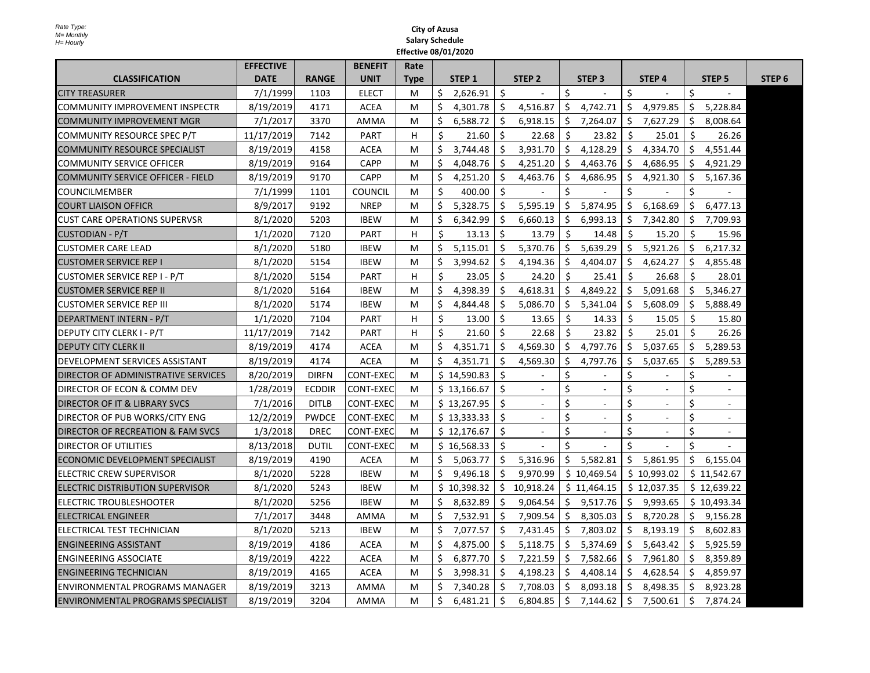|                                            | <b>EFFECTIVE</b> |               | <b>BENEFIT</b>   | Rate        |    |                   |                    |                   |              |                   |              |                   |               |                   |                   |
|--------------------------------------------|------------------|---------------|------------------|-------------|----|-------------------|--------------------|-------------------|--------------|-------------------|--------------|-------------------|---------------|-------------------|-------------------|
| <b>CLASSIFICATION</b>                      | <b>DATE</b>      | <b>RANGE</b>  | <b>UNIT</b>      | <b>Type</b> |    | STEP <sub>1</sub> |                    | STEP <sub>2</sub> |              | STEP <sub>3</sub> |              | STEP <sub>4</sub> |               | STEP <sub>5</sub> | STEP <sub>6</sub> |
| <b>CITY TREASURER</b>                      | 7/1/1999         | 1103          | <b>ELECT</b>     | M           | \$ | 2,626.91          | Ŝ.                 | $\sim$            | \$           |                   | \$           |                   | Ŝ.            |                   |                   |
| <b>COMMUNITY IMPROVEMENT INSPECTR</b>      | 8/19/2019        | 4171          | <b>ACEA</b>      | M           | \$ | 4,301.78          | \$                 | 4,516.87          | \$           | 4,742.71          | \$.          | 4,979.85          | \$            | 5,228.84          |                   |
| <b>COMMUNITY IMPROVEMENT MGR</b>           | 7/1/2017         | 3370          | <b>AMMA</b>      | M           | Ś  | 6,588.72          | Ŝ.                 | 6,918.15          | \$           | 7,264.07          | S.           | 7,627.29          | Ŝ.            | 8,008.64          |                   |
| COMMUNITY RESOURCE SPEC P/T                | 11/17/2019       | 7142          | <b>PART</b>      | H           | Ś. | 21.60             | Ś.                 | 22.68             | Ŝ.           | 23.82             | \$           | 25.01             | Ŝ.            | 26.26             |                   |
| <b>COMMUNITY RESOURCE SPECIALIST</b>       | 8/19/2019        | 4158          | <b>ACEA</b>      | м           | Ś. | 3,744.48          | Ŝ.                 | 3,931.70          | Ŝ.           | 4,128.29          | Ś.           | 4,334.70          | Ŝ.            | 4,551.44          |                   |
| <b>COMMUNITY SERVICE OFFICER</b>           | 8/19/2019        | 9164          | <b>CAPP</b>      | M           | Ś. | 4,048.76          | Ŝ.                 | 4,251.20          | Ŝ.           | 4,463.76          |              | \$4,686.95        | Ŝ.            | 4,921.29          |                   |
| <b>COMMUNITY SERVICE OFFICER - FIELD</b>   | 8/19/2019        | 9170          | <b>CAPP</b>      | M           | \$ | 4,251.20          | Ŝ.                 | 4,463.76          | \$           | 4,686.95          | Ś.           | 4,921.30          | \$.           | 5,167.36          |                   |
| <b>COUNCILMEMBER</b>                       | 7/1/1999         | 1101          | <b>COUNCIL</b>   | м           | Ś. | 400.00            | \$                 |                   | \$           |                   | Ś            |                   | Ŝ.            |                   |                   |
| <b>COURT LIAISON OFFICR</b>                | 8/9/2017         | 9192          | <b>NREP</b>      | м           | Ś. | 5,328.75          | Ŝ.                 | 5,595.19          | Ŝ.           | 5,874.95          | Ś.           | 6,168.69          | Ŝ.            | 6,477.13          |                   |
| <b>CUST CARE OPERATIONS SUPERVSR</b>       | 8/1/2020         | 5203          | <b>IBEW</b>      | м           | Ś. | 6,342.99          | \$                 | 6,660.13          | \$           | 6,993.13          | Ŝ.           | 7,342.80          | -S            | 7,709.93          |                   |
| CUSTODIAN - P/T                            | 1/1/2020         | 7120          | <b>PART</b>      | H           | Ś. | 13.13             | Ŝ.                 | 13.79             | Ŝ.           | 14.48             | Ś.           | 15.20             | Ŝ.            | 15.96             |                   |
| <b>CUSTOMER CARE LEAD</b>                  | 8/1/2020         | 5180          | <b>IBEW</b>      | м           | Ś. | 5,115.01          | \$                 | 5,370.76          | \$           | 5,639.29          | \$           | 5,921.26          | \$            | 6,217.32          |                   |
| <b>CUSTOMER SERVICE REP I</b>              | 8/1/2020         | 5154          | <b>IBEW</b>      | м           | Ś  | 3,994.62          | \$                 | 4,194.36          | \$           | 4,404.07          | Ŝ.           | 4,624.27          | \$            | 4,855.48          |                   |
| CUSTOMER SERVICE REP I - P/T               | 8/1/2020         | 5154          | <b>PART</b>      | H           | Ŝ. | 23.05             | $\mathsf{\hat{S}}$ | 24.20             | <sup>5</sup> | 25.41             | Ŝ.           | 26.68             | Ŝ.            | 28.01             |                   |
| <b>CUSTOMER SERVICE REP II</b>             | 8/1/2020         | 5164          | <b>IBEW</b>      | M           | \$ | 4,398.39          | \$                 | 4,618.31          | \$           | 4,849.22          | Ś.           | 5,091.68          | \$            | 5,346.27          |                   |
| <b>CUSTOMER SERVICE REP III</b>            | 8/1/2020         | 5174          | <b>IBEW</b>      | M           | Ś. | 4,844.48          | Ŝ.                 | 5,086.70          | Ŝ.           | 5,341.04          | Ś.           | 5,608.09          | Ŝ.            | 5,888.49          |                   |
| DEPARTMENT INTERN - P/T                    | 1/1/2020         | 7104          | <b>PART</b>      | H           | Ś. | 13.00             | Ŝ.                 | 13.65             | Ŝ.           | 14.33             | Ś.           | 15.05             | Ŝ.            | 15.80             |                   |
| DEPUTY CITY CLERK I - P/T                  | 11/17/2019       | 7142          | <b>PART</b>      | H           | Ś. | 21.60             | Ŝ.                 | 22.68             | \$           | 23.82             | Ś.           | 25.01             | Ŝ.            | 26.26             |                   |
| <b>DEPUTY CITY CLERK II</b>                | 8/19/2019        | 4174          | <b>ACEA</b>      | м           | \$ | 4,351.71          | \$                 | 4,569.30          | \$           | 4,797.76          | \$           | 5,037.65          | \$            | 5,289.53          |                   |
| <b>DEVELOPMENT SERVICES ASSISTANT</b>      | 8/19/2019        | 4174          | <b>ACEA</b>      | M           | Ś. | 4,351.71          | Ŝ.                 | 4,569.30          | \$           | 4,797.76          | Ś.           | 5,037.65          | Ŝ.            | 5,289.53          |                   |
| <b>DIRECTOR OF ADMINISTRATIVE SERVICES</b> | 8/20/2019        | <b>DIRFN</b>  | <b>CONT-EXEC</b> | M           |    | \$14,590.83       | \$                 |                   | \$           |                   | \$           |                   | \$.           |                   |                   |
| DIRECTOR OF ECON & COMM DEV                | 1/28/2019        | <b>ECDDIR</b> | <b>CONT-EXEC</b> | M           |    | \$13,166.67       | Ŝ.                 | $\sim$            | \$           | ä,                | \$           |                   | \$            | $\sim$            |                   |
| DIRECTOR OF IT & LIBRARY SVCS              | 7/1/2016         | <b>DITLB</b>  | <b>CONT-EXEC</b> | M           |    | \$13,267.95       | Ŝ.                 | $\sim$            | \$           | $\blacksquare$    | \$           |                   | Ś             | $\sim$            |                   |
| DIRECTOR OF PUB WORKS/CITY ENG             | 12/2/2019        | <b>PWDCE</b>  | CONT-EXEC        | M           |    | \$13,333.33       | \$                 | $\sim$            | \$           |                   | \$           |                   | \$            |                   |                   |
| DIRECTOR OF RECREATION & FAM SVCS          | 1/3/2018         | <b>DREC</b>   | <b>CONT-EXEC</b> | M           |    | \$12,176.67       | \$                 |                   | \$           |                   | Ś            |                   | \$            |                   |                   |
| DIRECTOR OF UTILITIES                      | 8/13/2018        | <b>DUTIL</b>  | <b>CONT-EXEC</b> | M           |    | \$16,568.33       | Ŝ.                 |                   | \$           |                   | $\mathsf{S}$ |                   | $\mathcal{S}$ |                   |                   |
| ECONOMIC DEVELOPMENT SPECIALIST            | 8/19/2019        | 4190          | <b>ACEA</b>      | M           | Ś. | 5,063.77          | Ŝ.                 | 5,316.96          | Ŝ.           | 5,582.81          |              | \$5,861.95        | Ŝ.            | 6,155.04          |                   |
| ELECTRIC CREW SUPERVISOR                   | 8/1/2020         | 5228          | <b>IBEW</b>      | М           | Ś. | 9,496.18          | Ŝ.                 | 9.970.99          |              | \$10,469.54       |              | \$10,993.02       |               | \$11,542.67       |                   |
| <b>ELECTRIC DISTRIBUTION SUPERVISOR</b>    | 8/1/2020         | 5243          | <b>IBEW</b>      | M           |    | \$10,398.32       | Ŝ.                 | 10,918.24         |              | \$11,464.15       |              | \$12,037.35       |               | \$12,639.22       |                   |
| <b>ELECTRIC TROUBLESHOOTER</b>             | 8/1/2020         | 5256          | <b>IBEW</b>      | М           | \$ | 8,632.89          | \$                 | 9,064.54          | \$           | 9,517.76          | Ŝ.           | 9,993.65          |               | \$10,493.34       |                   |
| <b>IELECTRICAL ENGINEER</b>                | 7/1/2017         | 3448          | AMMA             | м           | Ś. | 7,532.91          | Ŝ.                 | 7,909.54          | Ŝ.           | 8,305.03          | S.           | 8,720.28          | Ŝ.            | 9,156.28          |                   |
| ELECTRICAL TEST TECHNICIAN                 | 8/1/2020         | 5213          | <b>IBEW</b>      | M           | \$ | 7,077.57          | Ŝ.                 | 7,431.45          | \$           | 7,803.02          | \$.          | 8,193.19          | \$            | 8,602.83          |                   |
| ENGINEERING ASSISTANT                      | 8/19/2019        | 4186          | <b>ACEA</b>      | M           | Ś. | 4,875.00          | Ŝ.                 | 5,118.75          | \$           | 5,374.69          | Ŝ.           | 5,643.42          | \$            | 5,925.59          |                   |
| <b>ENGINEERING ASSOCIATE</b>               | 8/19/2019        | 4222          | <b>ACEA</b>      | M           | Ŝ. | 6,877.70          | Ŝ.                 | 7,221.59          | \$           | 7,582.66          | Ŝ.           | 7,961.80          | Ŝ.            | 8,359.89          |                   |
| <b>ENGINEERING TECHNICIAN</b>              | 8/19/2019        | 4165          | <b>ACEA</b>      | M           | Ś  | 3,998.31          | Ŝ.                 | 4,198.23          | \$           | 4,408.14          | Ŝ.           | 4,628.54          | \$            | 4,859.97          |                   |
| <b>ENVIRONMENTAL PROGRAMS MANAGER</b>      | 8/19/2019        | 3213          | AMMA             | м           | \$ | 7,340.28          | \$                 | 7,708.03          | \$           | 8,093.18          | \$           | 8,498.35          | \$            | 8,923.28          |                   |
| ENVIRONMENTAL PROGRAMS SPECIALIST          | 8/19/2019        | 3204          | <b>AMMA</b>      | M           | Ś  | 6,481.21          | \$                 | 6,804.85          | \$           | 7,144.62          | Ś.           | 7,500.61          | Ŝ.            | 7,874.24          |                   |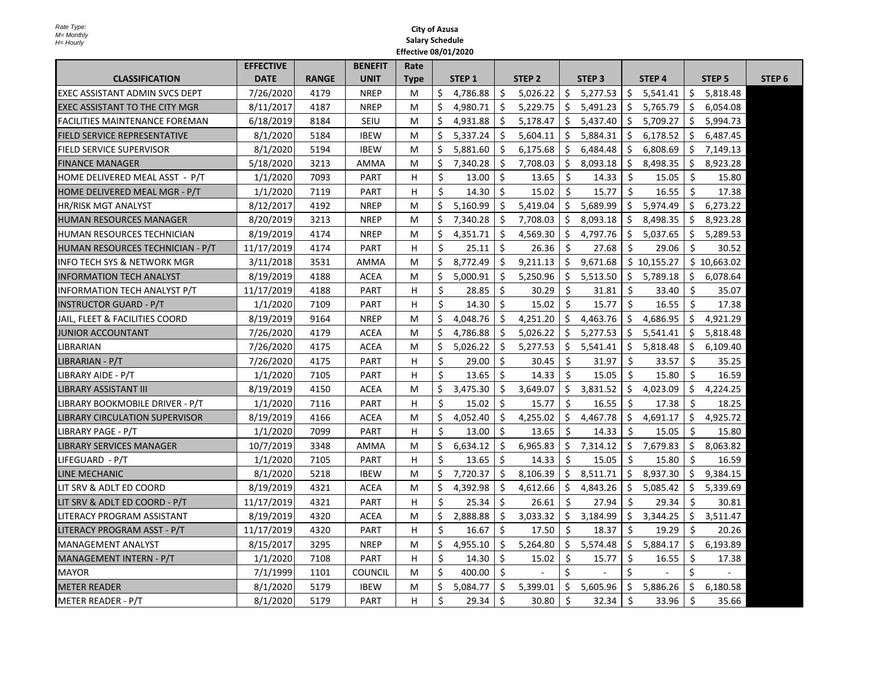|                                       | <b>EFFECTIVE</b> |              | <b>BENEFIT</b> | Rate        |         |                   |              |                   |         |                   |     |                   |     |               |                   |
|---------------------------------------|------------------|--------------|----------------|-------------|---------|-------------------|--------------|-------------------|---------|-------------------|-----|-------------------|-----|---------------|-------------------|
| <b>CLASSIFICATION</b>                 | <b>DATE</b>      | <b>RANGE</b> | <b>UNIT</b>    | <b>Type</b> |         | STEP <sub>1</sub> |              | STEP <sub>2</sub> |         | STEP <sub>3</sub> |     | STEP <sub>4</sub> |     | <b>STEP 5</b> | STEP <sub>6</sub> |
| EXEC ASSISTANT ADMIN SVCS DEPT        | 7/26/2020        | 4179         | <b>NREP</b>    | M           | Ŝ.      | 4,786.88          | \$           | 5,026.22          | \$      | 5,277.53          | \$. | 5,541.41          | \$  | 5,818.48      |                   |
| EXEC ASSISTANT TO THE CITY MGR        | 8/11/2017        | 4187         | <b>NREP</b>    | M           | \$      | 4,980.71          | Ŝ.           | 5,229.75          | \$      | 5,491.23          | \$  | 5,765.79          | \$  | 6,054.08      |                   |
| <b>FACILITIES MAINTENANCE FOREMAN</b> | 6/18/2019        | 8184         | SEIU           | M           | Ś.      | 4,931.88          | Ŝ.           | 5,178.47          | Ś.      | 5,437.40          | Ŝ.  | 5,709.27          | \$  | 5,994.73      |                   |
| FIELD SERVICE REPRESENTATIVE          | 8/1/2020         | 5184         | <b>IBEW</b>    | M           | \$      | 5,337.24          | Ś.           | 5,604.11          | Ŝ.      | 5,884.31          | \$  | 6,178.52          | \$  | 6,487.45      |                   |
| FIELD SERVICE SUPERVISOR              | 8/1/2020         | 5194         | <b>IBEW</b>    | M           | Ŝ.      | 5,881.60          | Ŝ.           | 6,175.68          | Ŝ.      | 6,484.48          | Ŝ.  | 6,808.69          | \$  | 7,149.13      |                   |
| <b>FINANCE MANAGER</b>                | 5/18/2020        | 3213         | <b>AMMA</b>    | M           | $\zeta$ | 7,340.28          | Ś.           | 7,708.03          | Ś.      | 8,093.18          | Ŝ.  | 8.498.35          | Ŝ.  | 8,923.28      |                   |
| HOME DELIVERED MEAL ASST - P/T        | 1/1/2020         | 7093         | <b>PART</b>    | н           | \$      | 13.00             | Ŝ.           | 13.65             | \$      | 14.33             | Ŝ.  | 15.05             | Ŝ.  | 15.80         |                   |
| HOME DELIVERED MEAL MGR - P/T         | 1/1/2020         | 7119         | <b>PART</b>    | н           | \$      | 14.30             | Ś            | 15.02             | \$      | 15.77             | Ŝ.  | 16.55             | Ŝ.  | 17.38         |                   |
| <b>HR/RISK MGT ANALYST</b>            | 8/12/2017        | 4192         | <b>NREP</b>    | M           | \$      | 5,160.99          | Ś.           | 5,419.04          | Ŝ.      | 5,689.99          |     | \$5,974.49        | \$  | 6,273.22      |                   |
| HUMAN RESOURCES MANAGER               | 8/20/2019        | 3213         | <b>NREP</b>    | M           | \$      | 7,340.28          | Ŝ.           | 7,708.03          | \$      | 8,093.18          | \$  | 8,498.35          | -\$ | 8,923.28      |                   |
| HUMAN RESOURCES TECHNICIAN            | 8/19/2019        | 4174         | <b>NREP</b>    | M           | Ś.      | 4,351.71          | Ŝ.           | 4,569.30          | \$      | 4,797.76          | Ŝ.  | 5,037.65          | Ŝ.  | 5,289.53      |                   |
| HUMAN RESOURCES TECHNICIAN - P/T      | 11/17/2019       | 4174         | <b>PART</b>    | н           | \$      | 25.11             | Ŝ.           | 26.36             | Ŝ.      | 27.68             | \$. | 29.06             | Ŝ.  | 30.52         |                   |
| INFO TECH SYS & NETWORK MGR           | 3/11/2018        | 3531         | AMMA           | M           | \$      | 8,772.49          | \$           | 9,211.13          | \$      | 9,671.68          |     | \$10,155.27       |     | \$10,663.02   |                   |
| IINFORMATION TECH ANALYST             | 8/19/2019        | 4188         | <b>ACEA</b>    | M           | Ŝ.      | 5,000.91          | Ś.           | 5,250.96          | \$      | 5,513.50          | S.  | 5,789.18          | Ŝ.  | 6,078.64      |                   |
| <b>INFORMATION TECH ANALYST P/T</b>   | 11/17/2019       | 4188         | <b>PART</b>    | н           | Ś.      | 28.85             | Ŝ.           | 30.29             | Ŝ.      | 31.81             | Ŝ.  | 33.40             | Ŝ.  | 35.07         |                   |
| <b>INSTRUCTOR GUARD - P/T</b>         | 1/1/2020         | 7109         | <b>PART</b>    | н           | \$      | 14.30             | Ŝ.           | 15.02             | Ŝ.      | 15.77             | Ŝ.  | 16.55             | Ŝ.  | 17.38         |                   |
| JAIL, FLEET & FACILITIES COORD        | 8/19/2019        | 9164         | <b>NREP</b>    | M           | \$      | 4,048.76          | Ś.           | 4,251.20          | Ś.      | 4,463.76          | Ŝ.  | 4,686.95          | Ŝ.  | 4,921.29      |                   |
| JUNIOR ACCOUNTANT                     | 7/26/2020        | 4179         | <b>ACEA</b>    | M           | $\zeta$ | 4,786.88          | Ś.           | 5,026.22          | Ŝ.      | 5,277.53          | Ŝ.  | 5,541.41          | Ŝ.  | 5,818.48      |                   |
| <b>LIBRARIAN</b>                      | 7/26/2020        | 4175         | <b>ACEA</b>    | M           | \$      | 5,026.22          | Ŝ.           | 5,277.53          | Ŝ.      | 5,541.41          | \$  | 5,818.48          | Ŝ.  | 6,109.40      |                   |
| LIBRARIAN - P/T                       | 7/26/2020        | 4175         | <b>PART</b>    | н           | \$      | 29.00             | Ŝ.           | 30.45             | \$      | 31.97             | \$  | 33.57             | Ŝ.  | 35.25         |                   |
| LIBRARY AIDE - P/T                    | 1/1/2020         | 7105         | <b>PART</b>    | н           | Ŝ.      | 13.65             | \$           | 14.33             | \$      | 15.05             | Ŝ.  | 15.80             | \$  | 16.59         |                   |
| LIBRARY ASSISTANT III                 | 8/19/2019        | 4150         | <b>ACEA</b>    | M           | Ś       | 3,475.30          | Ŝ.           | 3,649.07          | \$      | 3,831.52          | \$  | 4,023.09          | \$  | 4,224.25      |                   |
| LIBRARY BOOKMOBILE DRIVER - P/T       | 1/1/2020         | 7116         | <b>PART</b>    | н           | \$      | 15.02             | Ŝ.           | 15.77             | \$      | 16.55             | Ŝ.  | 17.38             | Ś.  | 18.25         |                   |
| <b>LIBRARY CIRCULATION SUPERVISOR</b> | 8/19/2019        | 4166         | <b>ACEA</b>    | M           | Ś.      | 4,052.40          | Ś.           | 4,255.02          | Ś.      | 4,467.78          | Ś.  | 4,691.17          | \$  | 4,925.72      |                   |
| LIBRARY PAGE - P/T                    | 1/1/2020         | 7099         | <b>PART</b>    | н           | Ś.      | 13.00             | Ŝ.           | 13.65             | \$      | 14.33             | Ŝ.  | 15.05             | Ŝ.  | 15.80         |                   |
| <b>LIBRARY SERVICES MANAGER</b>       | 10/7/2019        | 3348         | AMMA           | M           | \$      | 6,634.12          | Ś            | 6,965.83          | \$      | 7,314.12          | Ŝ.  | 7,679.83          | \$  | 8,063.82      |                   |
| LIFEGUARD - P/T                       | 1/1/2020         | 7105         | <b>PART</b>    | H           | Ś.      | 13.65             | Ŝ.           | 14.33             | Ś.      | 15.05             | Ŝ.  | 15.80             | Ŝ.  | 16.59         |                   |
| LINE MECHANIC                         | 8/1/2020         | 5218         | <b>IBEW</b>    | M           | \$      | 7,720.37          | Ś.           | 8,106.39          | Ŝ.      | 8,511.71          | Ŝ.  | 8,937.30          | Ŝ.  | 9,384.15      |                   |
| LIT SRV & ADLT ED COORD               | 8/19/2019        | 4321         | <b>ACEA</b>    | M           | \$      | 4,392.98          | \$           | 4,612.66          | \$      | 4,843.26          | \$. | 5,085.42          | \$  | 5,339.69      |                   |
| LIT SRV & ADLT ED COORD - P/T         | 11/17/2019       | 4321         | <b>PART</b>    | н           | Ś.      | 25.34             | Ŝ.           | 26.61             | \$      | 27.94             | Ŝ.  | 29.34             | Ŝ.  | 30.81         |                   |
| LITERACY PROGRAM ASSISTANT            | 8/19/2019        | 4320         | <b>ACEA</b>    | M           | \$      | 2,888.88          | \$           | 3,033.32          | \$      | 3,184.99          | Ś.  | 3,344.25          | \$  | 3,511.47      |                   |
| LITERACY PROGRAM ASST - P/T           | 11/17/2019       | 4320         | <b>PART</b>    | H           | Ŝ.      | 16.67             | Ŝ.           | 17.50             | Ŝ.      | 18.37             | Ŝ.  | 19.29             | Ŝ.  | 20.26         |                   |
| <b>MANAGEMENT ANALYST</b>             | 8/15/2017        | 3295         | <b>NREP</b>    | м           | \$      | 4,955.10          | \$           | 5,264.80          | \$      | 5,574.48          | \$. | 5,884.17          | \$  | 6,193.89      |                   |
| MANAGEMENT INTERN - P/T               | 1/1/2020         | 7108         | <b>PART</b>    | н           | \$      | 14.30             | Ŝ.           | 15.02             | \$      | 15.77             | \$  | 16.55             | \$  | 17.38         |                   |
| <b>MAYOR</b>                          | 7/1/1999         | 1101         | <b>COUNCIL</b> | M           | Ś.      | 400.00            | $\mathsf{S}$ |                   | $\zeta$ |                   | Ś.  |                   | Ś.  |               |                   |
| <b>METER READER</b>                   | 8/1/2020         | 5179         | <b>IBEW</b>    | M           | \$      | 5,084.77          | Ŝ.           | 5,399.01          | Ŝ.      | 5,605.96          | Ŝ.  | 5,886.26          | Ŝ.  | 6,180.58      |                   |
| <b>METER READER - P/T</b>             | 8/1/2020         | 5179         | <b>PART</b>    | H           | \$      | 29.34             | Ŝ.           | 30.80             | Ŝ.      | 32.34             | Ŝ.  | 33.96             | Ŝ.  | 35.66         |                   |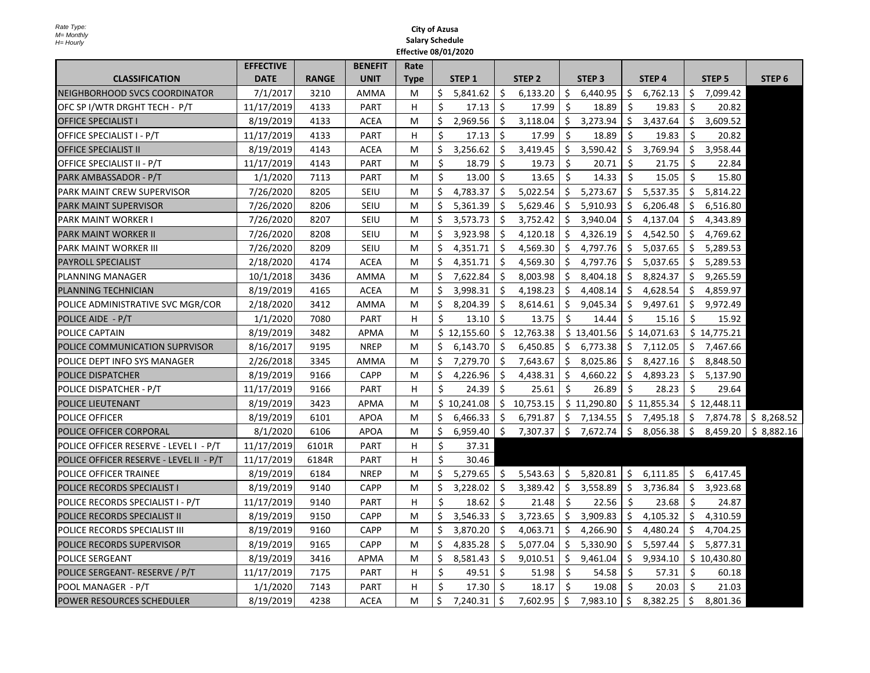|                                         | <b>EFFECTIVE</b> |              | <b>BENEFIT</b> | Rate        |    |                   |         |                   |                |                   |    |                   |                |                   |                   |
|-----------------------------------------|------------------|--------------|----------------|-------------|----|-------------------|---------|-------------------|----------------|-------------------|----|-------------------|----------------|-------------------|-------------------|
| <b>CLASSIFICATION</b>                   | <b>DATE</b>      | <b>RANGE</b> | <b>UNIT</b>    | <b>Type</b> |    | STEP <sub>1</sub> |         | STEP <sub>2</sub> |                | STEP <sub>3</sub> |    | STEP <sub>4</sub> |                | STEP <sub>5</sub> | STEP <sub>6</sub> |
| NEIGHBORHOOD SVCS COORDINATOR           | 7/1/2017         | 3210         | <b>AMMA</b>    | М           | \$ | 5,841.62          | \$      | 6,133.20          | \$             | 6,440.95          | \$ | 6,762.13          | \$             | 7,099.42          |                   |
| OFC SP I/WTR DRGHT TECH - P/T           | 11/17/2019       | 4133         | <b>PART</b>    | H.          | Ś. | 17.13             | \$      | 17.99             | Ŝ.             | 18.89             | Ŝ. | 19.83             | Ŝ.             | 20.82             |                   |
| <b>OFFICE SPECIALIST I</b>              | 8/19/2019        | 4133         | <b>ACEA</b>    | М           | \$ | 2,969.56          | \$      | 3,118.04          | \$             | 3,273.94          | \$ | 3,437.64          | \$             | 3,609.52          |                   |
| OFFICE SPECIALIST I - P/T               | 11/17/2019       | 4133         | <b>PART</b>    | н           | Ŝ. | 17.13             | Ś       | 17.99             | Ŝ.             | 18.89             | Ŝ. | 19.83             | Ś              | 20.82             |                   |
| <b>OFFICE SPECIALIST II</b>             | 8/19/2019        | 4143         | <b>ACEA</b>    | M           | \$ | 3,256.62          | Ŝ.      | 3,419.45          | \$             | 3,590.42          | Ŝ  | 3,769.94          | Ŝ.             | 3,958.44          |                   |
| OFFICE SPECIALIST II - P/T              | 11/17/2019       | 4143         | <b>PART</b>    | М           | \$ | 18.79             | Ś.      | 19.73             | Ŝ.             | 20.71             | Ŝ. | 21.75             | Ŝ.             | 22.84             |                   |
| PARK AMBASSADOR - P/T                   | 1/1/2020         | 7113         | <b>PART</b>    | M           | Ŝ. | 13.00             | Ś.      | 13.65             | Ŝ.             | 14.33             | Ŝ. | 15.05             | Ŝ.             | 15.80             |                   |
| PARK MAINT CREW SUPERVISOR              | 7/26/2020        | 8205         | SEIU           | М           | Ś  | 4,783.37          | Ŝ       | 5,022.54          | \$.            | 5,273.67          | Ŝ. | 5,537.35          | Ś              | 5,814.22          |                   |
| <b>PARK MAINT SUPERVISOR</b>            | 7/26/2020        | 8206         | SEIU           | М           | Ś  | 5,361.39          | Ś       | 5,629.46          | \$             | 5,910.93          | Ś. | 6,206.48          | Ś.             | 6,516.80          |                   |
| PARK MAINT WORKER I                     | 7/26/2020        | 8207         | SEIU           | M           | Ś. | 3,573.73          | Ŝ.      | 3,752.42          | \$             | 3,940.04          | Ŝ. | 4,137.04          | Ś              | 4,343.89          |                   |
| PARK MAINT WORKER II                    | 7/26/2020        | 8208         | SEIU           | М           | \$ | 3,923.98          | \$      | 4,120.18          | \$             | 4,326.19          | \$ | 4,542.50          | \$.            | 4,769.62          |                   |
| <b>PARK MAINT WORKER III</b>            | 7/26/2020        | 8209         | <b>SEIU</b>    | M           | Ś  | 4,351.71          | Ś.      | 4,569.30          | \$.            | 4,797.76          | \$ | 5,037.65          | S              | 5,289.53          |                   |
| <b>PAYROLL SPECIALIST</b>               | 2/18/2020        | 4174         | <b>ACEA</b>    | M           | Ś  | 4,351.71          | Ś.      | 4,569.30          | \$.            | 4,797.76          | Ŝ. | 5,037.65          | Ŝ              | 5,289.53          |                   |
| PLANNING MANAGER                        | 10/1/2018        | 3436         | <b>AMMA</b>    | М           | \$ | 7,622.84          | \$      | 8,003.98          | \$             | 8,404.18          | \$ | 8,824.37          | \$             | 9,265.59          |                   |
| PLANNING TECHNICIAN                     | 8/19/2019        | 4165         | ACEA           | М           | Ś  | 3,998.31          | Ŝ.      | 4,198.23          | \$.            | 4,408.14          | Ś  | 4,628.54          | S              | 4,859.97          |                   |
| POLICE ADMINISTRATIVE SVC MGR/COR       | 2/18/2020        | 3412         | AMMA           | М           | Ś. | 8,204.39          | \$      | 8,614.61          | \$             | 9,045.34          | Ŝ. | 9,497.61          | Ŝ.             | 9,972.49          |                   |
| POLICE AIDE - P/T                       | 1/1/2020         | 7080         | <b>PART</b>    | H           | Ŝ. | 13.10             | Ś.      | 13.75             | Ŝ.             | 14.44             | Ŝ. | 15.16             | Ŝ.             | 15.92             |                   |
| POLICE CAPTAIN                          | 8/19/2019        | 3482         | APMA           | М           |    | \$12,155.60       | Ŝ.      | 12,763.38         |                | \$13,401.56       |    | \$14,071.63       |                | \$14,775.21       |                   |
| POLICE COMMUNICATION SUPRVISOR          | 8/16/2017        | 9195         | <b>NREP</b>    | M           | Ś. | 6,143.70          | Ś.      | 6,450.85          | \$.            | 6,773.38          | Ś. | 7,112.05          | Ś.             | 7,467.66          |                   |
| POLICE DEPT INFO SYS MANAGER            | 2/26/2018        | 3345         | AMMA           | M           | Ś  | 7,279.70          | Ś.      | 7,643.67          | \$             | 8,025.86          | Ŝ. | 8,427.16          | Ś              | 8,848.50          |                   |
| POLICE DISPATCHER                       | 8/19/2019        | 9166         | <b>CAPP</b>    | М           | Ś  | 4,226.96          | Ŝ.      | 4,438.31          | \$             | 4,660.22          | Ŝ. | 4,893.23          | \$.            | 5,137.90          |                   |
| POLICE DISPATCHER - P/T                 | 11/17/2019       | 9166         | PART           | н           | \$ | 24.39             | Ŝ.      | 25.61             | $\zeta$        | 26.89             | \$ | 28.23             | \$             | 29.64             |                   |
| POLICE LIEUTENANT                       | 8/19/2019        | 3423         | <b>APMA</b>    | M           |    | \$10,241.08       | Ŝ.      | 10,753.15         |                | \$11,290.80       |    | \$11,855.34       |                | \$12,448.11       |                   |
| POLICE OFFICER                          | 8/19/2019        | 6101         | <b>APOA</b>    | М           | \$ | 6,466.33          | \$      | 6,791.87          | \$             | 7,134.55          | \$ | 7,495.18          | S.             | 7,874.78          | \$8,268.52        |
| POLICE OFFICER CORPORAL                 | 8/1/2020         | 6106         | <b>APOA</b>    | М           | \$ | 6,959.40          | $\zeta$ | 7,307.37          | $\zeta$        | 7,672.74 \$       |    | 8,056.38          | $\ddot{\zeta}$ | 8,459.20          | \$8,882.16        |
| POLICE OFFICER RESERVE - LEVEL I - P/T  | 11/17/2019       | 6101R        | <b>PART</b>    | н           | Ŝ. | 37.31             |         |                   |                |                   |    |                   |                |                   |                   |
| POLICE OFFICER RESERVE - LEVEL II - P/T | 11/17/2019       | 6184R        | <b>PART</b>    | H           | \$ | 30.46             |         |                   |                |                   |    |                   |                |                   |                   |
| <b>POLICE OFFICER TRAINEE</b>           | 8/19/2019        | 6184         | <b>NREP</b>    | M           | Ŝ. | 5,279.65          | Ŝ.      | 5,543.63          | \$             | 5,820.81          | Ŝ. | 6,111.85          | Ś.             | 6,417.45          |                   |
| POLICE RECORDS SPECIALIST I             | 8/19/2019        | 9140         | CAPP           | М           | Ś  | 3,228.02          | Ś.      | 3,389.42          | Ŝ.             | 3,558.89          | Ś. | 3,736.84          | Ś              | 3,923.68          |                   |
| POLICE RECORDS SPECIALIST I - P/T       | 11/17/2019       | 9140         | <b>PART</b>    | H           | Ŝ. | 18.62             | \$      | 21.48             | Ŝ.             | 22.56             | Ŝ. | 23.68             | Ś.             | 24.87             |                   |
| POLICE RECORDS SPECIALIST II            | 8/19/2019        | 9150         | <b>CAPP</b>    | M           | Ś  | 3,546.33          | Ś.      | 3,723.65          | \$             | 3,909.83          | Ś. | 4,105.32          | Ś              | 4,310.59          |                   |
| POLICE RECORDS SPECIALIST III           | 8/19/2019        | 9160         | <b>CAPP</b>    | М           | Ŝ. | 3,870.20          | \$      | 4,063.71          | \$.            | 4,266.90          | \$ | 4,480.24          | \$             | 4,704.25          |                   |
| POLICE RECORDS SUPERVISOR               | 8/19/2019        | 9165         | CAPP           | М           | Ŝ. | 4,835.28          | \$      | 5,077.04          | $\ddot{\zeta}$ | 5,330.90          | \$ | 5,597.44          | S              | 5,877.31          |                   |
| <b>POLICE SERGEANT</b>                  | 8/19/2019        | 3416         | <b>APMA</b>    | M           | Ś  | 8,581.43          | Ś.      | 9,010.51          | \$             | 9,461.04          | Ś. | 9,934.10          |                | \$10,430.80       |                   |
| POLICE SERGEANT- RESERVE / P/T          | 11/17/2019       | 7175         | <b>PART</b>    | н           | \$ | 49.51             | \$      | 51.98             | Ŝ.             | 54.58             | Ŝ. | 57.31             | \$             | 60.18             |                   |
| POOL MANAGER - P/T                      | 1/1/2020         | 7143         | <b>PART</b>    | н           | \$ | 17.30             | Ŝ.      | 18.17             | Ŝ.             | 19.08             | Ŝ. | 20.03             | Ś.             | 21.03             |                   |
| POWER RESOURCES SCHEDULER               | 8/19/2019        | 4238         | <b>ACEA</b>    | M           | \$ | 7,240.31          | Ŝ.      | 7,602.95          | \$             | 7,983.10          | Ŝ. | 8,382.25          | Ŝ.             | 8,801.36          |                   |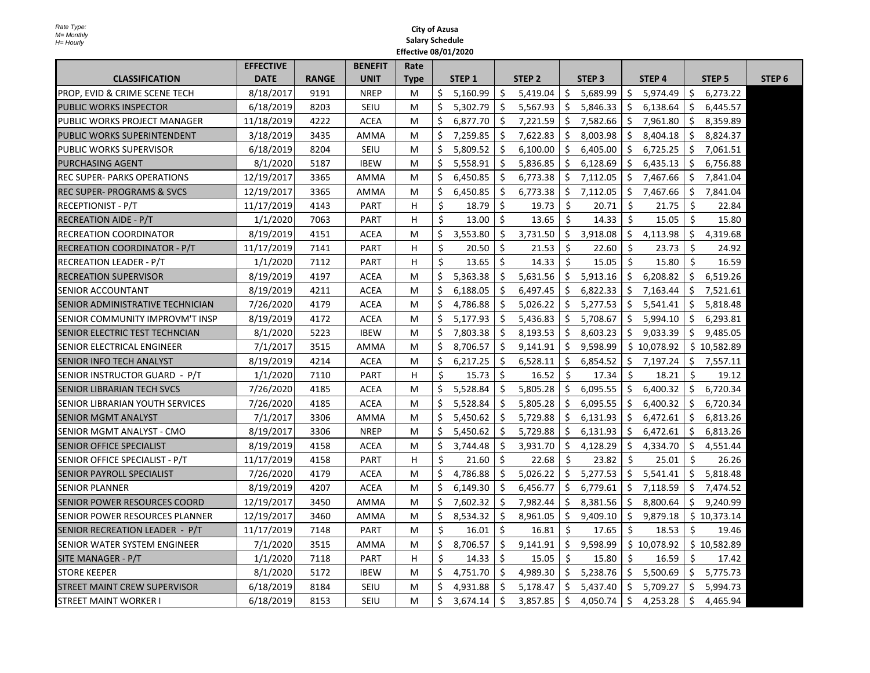|                                          | <b>EFFECTIVE</b> |              | <b>BENEFIT</b> | Rate        |     |                   |              |                   |     |                   |     |                   |     |                   |                   |
|------------------------------------------|------------------|--------------|----------------|-------------|-----|-------------------|--------------|-------------------|-----|-------------------|-----|-------------------|-----|-------------------|-------------------|
| <b>CLASSIFICATION</b>                    | <b>DATE</b>      | <b>RANGE</b> | <b>UNIT</b>    | <b>Type</b> |     | STEP <sub>1</sub> |              | STEP <sub>2</sub> |     | STEP <sub>3</sub> |     | STEP <sub>4</sub> |     | STEP <sub>5</sub> | STEP <sub>6</sub> |
| <b>PROP, EVID &amp; CRIME SCENE TECH</b> | 8/18/2017        | 9191         | <b>NREP</b>    | M           | Ś.  | 5,160.99          | Ś.           | 5,419.04          | \$  | 5,689.99          | Ŝ.  | 5,974.49          | \$. | 6,273.22          |                   |
| <b>PUBLIC WORKS INSPECTOR</b>            | 6/18/2019        | 8203         | SEIU           | м           | Ś   | 5,302.79          | \$           | 5,567.93          | \$  | 5,846.33          | \$  | 6,138.64          | \$  | 6,445.57          |                   |
| PUBLIC WORKS PROJECT MANAGER             | 11/18/2019       | 4222         | <b>ACEA</b>    | м           | Ś   | 6,877.70          | Ŝ.           | 7,221.59          | \$  | 7,582.66          | \$  | 7,961.80          | \$. | 8,359.89          |                   |
| PUBLIC WORKS SUPERINTENDENT              | 3/18/2019        | 3435         | AMMA           | М           | \$. | 7,259.85          | <sup>S</sup> | 7,622.83          | \$  | 8,003.98          | \$. | 8,404.18          | S.  | 8,824.37          |                   |
| <b>PUBLIC WORKS SUPERVISOR</b>           | 6/18/2019        | 8204         | SEIU           | м           | Ś.  | 5,809.52          | Ŝ.           | 6,100.00          | Ŝ.  | 6,405.00          | Ŝ.  | 6,725.25          | Ŝ.  | 7,061.51          |                   |
| <b>PURCHASING AGENT</b>                  | 8/1/2020         | 5187         | <b>IBEW</b>    | M           | Ś   | 5,558.91          | Ŝ.           | 5,836.85          | Ŝ.  | 6,128.69          | Ŝ.  | 6,435.13          | Ŝ.  | 6,756.88          |                   |
| <b>REC SUPER- PARKS OPERATIONS</b>       | 12/19/2017       | 3365         | AMMA           | м           | \$  | 6,450.85          | \$.          | 6,773.38          | \$  | 7,112.05          | \$. | 7,467.66          | S.  | 7,841.04          |                   |
| IREC SUPER- PROGRAMS & SVCS              | 12/19/2017       | 3365         | AMMA           | м           | \$  | 6.450.85          | \$           | 6,773.38          | \$  | 7,112.05          | Ś.  | 7,467.66          | Ś.  | 7,841.04          |                   |
| <b>RECEPTIONIST - P/T</b>                | 11/17/2019       | 4143         | PART           | H           | \$  | 18.79             | Ŝ.           | 19.73             | -\$ | 20.71             | Ŝ.  | 21.75             | \$. | 22.84             |                   |
| <b>RECREATION AIDE - P/T</b>             | 1/1/2020         | 7063         | PART           | н           | Ś.  | 13.00             | \$           | 13.65             | \$  | 14.33             | \$  | 15.05             | Ŝ.  | 15.80             |                   |
| IRECREATION COORDINATOR                  | 8/19/2019        | 4151         | <b>ACEA</b>    | М           | Ś   | 3,553.80          | Ś.           | 3.731.50          | Ŝ.  | 3,918.08          | Ŝ.  | 4,113.98          | Ŝ.  | 4,319.68          |                   |
| RECREATION COORDINATOR - P/T             | 11/17/2019       | 7141         | <b>PART</b>    | H           | Ś   | 20.50             | Ŝ.           | 21.53             | -\$ | 22.60             | Ŝ.  | 23.73             | Ŝ.  | 24.92             |                   |
| <b>RECREATION LEADER - P/T</b>           | 1/1/2020         | 7112         | <b>PART</b>    | н           | Ś   | 13.65             | Ś            | 14.33             | Ŝ.  | 15.05             | Ś.  | 15.80             | Ŝ.  | 16.59             |                   |
| RECREATION SUPERVISOR                    | 8/19/2019        | 4197         | <b>ACEA</b>    | М           | Ś.  | 5,363.38          | Ŝ.           | 5,631.56          | \$  | 5,913.16          | \$  | 6,208.82          | \$  | 6,519.26          |                   |
| ISENIOR ACCOUNTANT                       | 8/19/2019        | 4211         | <b>ACEA</b>    | м           | Ś.  | 6,188.05          | Ŝ.           | 6,497.45          | \$  | 6,822.33          | Ŝ.  | 7,163.44          | Ŝ.  | 7,521.61          |                   |
| SENIOR ADMINISTRATIVE TECHNICIAN         | 7/26/2020        | 4179         | <b>ACEA</b>    | м           | Ŝ.  | 4,786.88          | Ŝ.           | 5,026.22          | Ŝ.  | 5,277.53          | Ŝ.  | 5,541.41          | Ŝ.  | 5,818.48          |                   |
| SENIOR COMMUNITY IMPROVM'T INSP          | 8/19/2019        | 4172         | <b>ACEA</b>    | м           | Ś   | 5,177.93          | Ŝ.           | 5,436.83          | \$  | 5,708.67          | Ŝ.  | 5,994.10          | \$  | 6,293.81          |                   |
| SENIOR ELECTRIC TEST TECHNCIAN           | 8/1/2020         | 5223         | <b>IBEW</b>    | М           | Ś.  | 7,803.38          | Ŝ.           | 8,193.53          | \$  | 8,603.23          | Ŝ.  | 9,033.39          | Ŝ.  | 9,485.05          |                   |
| <b>SENIOR ELECTRICAL ENGINEER</b>        | 7/1/2017         | 3515         | <b>AMMA</b>    | м           | Ś   | 8.706.57          | Ŝ.           | 9,141.91          | \$  | 9,598.99          |     | \$10,078.92       |     | \$10,582.89       |                   |
| <b>SENIOR INFO TECH ANALYST</b>          | 8/19/2019        | 4214         | ACEA           | М           | \$. | 6,217.25          | \$.          | 6,528.11          | \$  | 6,854.52          |     | \$7,197.24        | \$. | 7,557.11          |                   |
| SENIOR INSTRUCTOR GUARD - P/T            | 1/1/2020         | 7110         | PART           | H           | \$  | 15.73             | \$           | 16.52             | -\$ | 17.34             | \$  | 18.21             | Ŝ.  | 19.12             |                   |
| ISENIOR LIBRARIAN TECH SVCS              | 7/26/2020        | 4185         | <b>ACEA</b>    | м           | Ś   | 5,528.84          | Ś.           | 5.805.28          | Ŝ.  | 6,095.55          | Ś.  | 6,400.32          | Ŝ.  | 6.720.34          |                   |
| <b>SENIOR LIBRARIAN YOUTH SERVICES</b>   | 7/26/2020        | 4185         | <b>ACEA</b>    | м           | Ś   | 5,528.84          | \$           | 5,805.28          | \$  | 6,095.55          | \$. | 6,400.32          | \$  | 6,720.34          |                   |
| ISENIOR MGMT ANALYST                     | 7/1/2017         | 3306         | <b>AMMA</b>    | м           | Ś   | 5,450.62          | Ŝ.           | 5,729.88          | \$  | 6,131.93          | Ŝ.  | 6,472.61          | \$  | 6,813.26          |                   |
| SENIOR MGMT ANALYST - CMO                | 8/19/2017        | 3306         | <b>NREP</b>    | М           | Ś   | 5,450.62          | \$.          | 5,729.88          | \$. | 6,131.93          | \$. | 6,472.61          | S.  | 6,813.26          |                   |
| <b>SENIOR OFFICE SPECIALIST</b>          | 8/19/2019        | 4158         | <b>ACEA</b>    | м           | Ŝ.  | 3,744.48          | Ŝ            | 3,931.70          | Ŝ.  | 4,128.29          | Ŝ.  | 4,334.70          | Ŝ.  | 4,551.44          |                   |
| SENIOR OFFICE SPECIALIST - P/T           | 11/17/2019       | 4158         | PART           | H           | Ś.  | 21.60             | Ŝ.           | 22.68             | Ŝ.  | 23.82             | Ś.  | 25.01             | Ŝ.  | 26.26             |                   |
| <b>SENIOR PAYROLL SPECIALIST</b>         | 7/26/2020        | 4179         | <b>ACEA</b>    | м           | Ś.  | 4,786.88          | Ŝ.           | 5,026.22          | \$  | 5,277.53          | \$  | 5,541.41          | \$  | 5,818.48          |                   |
| <b>SENIOR PLANNER</b>                    | 8/19/2019        | 4207         | <b>ACEA</b>    | М           | Ś.  | 6,149.30          | Ś.           | 6,456.77          | \$  | 6,779.61          | Ŝ.  | 7,118.59          | \$  | 7,474.52          |                   |
| ISENIOR POWER RESOURCES COORD            | 12/19/2017       | 3450         | <b>AMMA</b>    | м           | Ś   | 7,602.32          | Ŝ.           | 7,982.44          | Ŝ.  | 8,381.56          | Ŝ.  | 8,800.64          | Ŝ.  | 9,240.99          |                   |
| SENIOR POWER RESOURCES PLANNER           | 12/19/2017       | 3460         | AMMA           | м           | \$  | 8,534.32          | \$.          | 8,961.05          | \$  | 9,409.10          | \$. | 9,879.18          |     | \$10,373.14       |                   |
| SENIOR RECREATION LEADER - P/T           | 11/17/2019       | 7148         | <b>PART</b>    | м           | Ś.  | 16.01             | Ŝ.           | 16.81             | -Ś  | 17.65             | Ŝ.  | 18.53             | Ŝ.  | 19.46             |                   |
| ISENIOR WATER SYSTEM ENGINEER            | 7/1/2020         | 3515         | AMMA           | M           | Ś   | 8,706.57          | Ŝ.           | 9,141.91          | \$  | 9,598.99          |     | \$10,078.92       |     | \$10,582.89       |                   |
| ISITE MANAGER - P/T                      | 1/1/2020         | 7118         | PART           | H           | Ś.  | 14.33             | Ŝ.           | 15.05             | -\$ | 15.80             | Ŝ.  | 16.59             | Ŝ.  | 17.42             |                   |
| <b>STORE KEEPER</b>                      | 8/1/2020         | 5172         | <b>IBEW</b>    | м           | \$  | 4,751.70          | Ŝ.           | 4,989.30          | \$  | 5,238.76          | \$  | 5,500.69          | \$  | 5,775.73          |                   |
| <b>STREET MAINT CREW SUPERVISOR</b>      | 6/18/2019        | 8184         | SEIU           | м           | S   | 4,931.88          | Ŝ.           | 5,178.47          | Ŝ.  | 5,437.40          | Ŝ.  | 5,709.27          | Ŝ.  | 5,994.73          |                   |
| <b>STREET MAINT WORKER I</b>             | 6/18/2019        | 8153         | <b>SEIU</b>    | м           | \$  | 3,674.14          | \$           | 3,857.85          | \$  | 4,050.74          | \$  | 4,253.28          | Ŝ.  | 4,465.94          |                   |